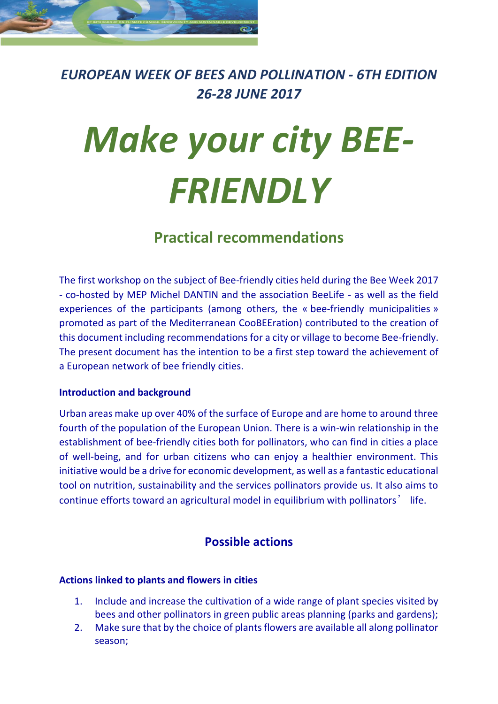

*EUROPEAN WEEK OF BEES AND POLLINATION - 6TH EDITION 26-28 JUNE 2017*

# *Make your city BEE-FRIENDLY*

## **Practical recommendations**

The first workshop on the subject of Bee-friendly cities held during the Bee Week 2017 - co-hosted by MEP Michel DANTIN and the association BeeLife - as well as the field experiences of the participants (among others, the « bee-friendly municipalities » promoted as part of the Mediterranean CooBEEration) contributed to the creation of this document including recommendations for a city or village to become Bee-friendly. The present document has the intention to be a first step toward the achievement of a European network of bee friendly cities.

#### **Introduction and background**

Urban areas make up over 40% of the surface of Europe and are home to around three fourth of the population of the European Union. There is a win-win relationship in the establishment of bee-friendly cities both for pollinators, who can find in cities a place of well-being, and for urban citizens who can enjoy a healthier environment. This initiative would be a drive for economic development, as well as a fantastic educational tool on nutrition, sustainability and the services pollinators provide us. It also aims to continue efforts toward an agricultural model in equilibrium with pollinators' life.

### **Possible actions**

#### **Actions linked to plants and flowers in cities**

- 1. Include and increase the cultivation of a wide range of plant species visited by bees and other pollinators in green public areas planning (parks and gardens);
- 2. Make sure that by the choice of plants flowers are available all along pollinator season;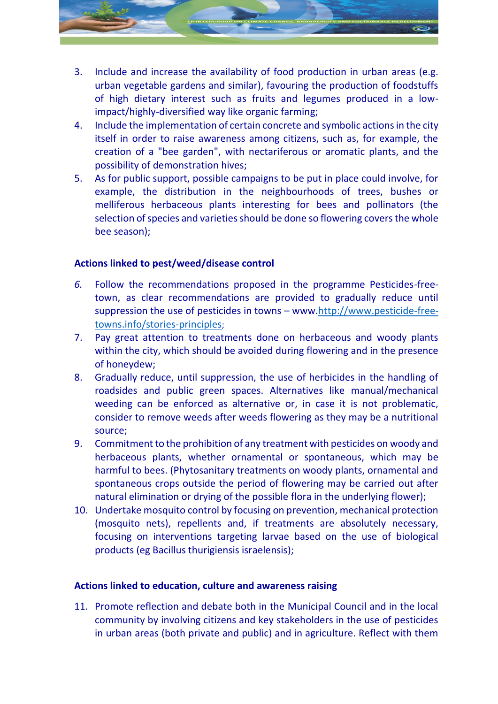

- 3. Include and increase the availability of food production in urban areas (e.g. urban vegetable gardens and similar), favouring the production of foodstuffs of high dietary interest such as fruits and legumes produced in a lowimpact/highly-diversified way like organic farming;
- 4. Include the implementation of certain concrete and symbolic actions in the city itself in order to raise awareness among citizens, such as, for example, the creation of a "bee garden", with nectariferous or aromatic plants, and the possibility of demonstration hives;
- 5. As for public support, possible campaigns to be put in place could involve, for example, the distribution in the neighbourhoods of trees, bushes or melliferous herbaceous plants interesting for bees and pollinators (the selection of species and varieties should be done so flowering covers the whole bee season);

#### **Actions linked to pest/weed/disease control**

- *6.* Follow the recommendations proposed in the programme Pesticides-freetown, as clear recommendations are provided to gradually reduce until suppression the use of pesticides in towns – www[.http://www.pesticide-free](http://www.pesticide-free-towns.info/stories-principles)[towns.info/stories-principles](http://www.pesticide-free-towns.info/stories-principles);
- 7. Pay great attention to treatments done on herbaceous and woody plants within the city, which should be avoided during flowering and in the presence of honeydew;
- 8. Gradually reduce, until suppression, the use of herbicides in the handling of roadsides and public green spaces. Alternatives like manual/mechanical weeding can be enforced as alternative or, in case it is not problematic, consider to remove weeds after weeds flowering as they may be a nutritional source;
- 9. Commitment to the prohibition of any treatment with pesticides on woody and herbaceous plants, whether ornamental or spontaneous, which may be harmful to bees. (Phytosanitary treatments on woody plants, ornamental and spontaneous crops outside the period of flowering may be carried out after natural elimination or drying of the possible flora in the underlying flower);
- 10. Undertake mosquito control by focusing on prevention, mechanical protection (mosquito nets), repellents and, if treatments are absolutely necessary, focusing on interventions targeting larvae based on the use of biological products (eg Bacillus thurigiensis israelensis);

#### **Actions linked to education, culture and awareness raising**

11. Promote reflection and debate both in the Municipal Council and in the local community by involving citizens and key stakeholders in the use of pesticides in urban areas (both private and public) and in agriculture. Reflect with them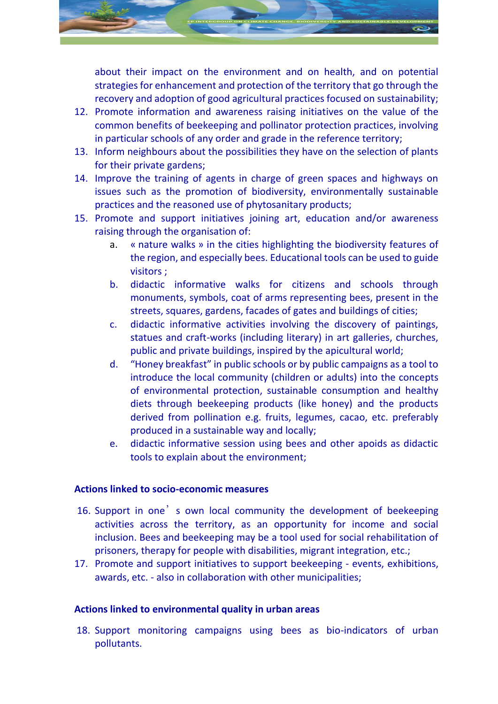

about their impact on the environment and on health, and on potential strategies for enhancement and protection of the territory that go through the recovery and adoption of good agricultural practices focused on sustainability;

- 12. Promote information and awareness raising initiatives on the value of the common benefits of beekeeping and pollinator protection practices, involving in particular schools of any order and grade in the reference territory;
- 13. Inform neighbours about the possibilities they have on the selection of plants for their private gardens;
- 14. Improve the training of agents in charge of green spaces and highways on issues such as the promotion of biodiversity, environmentally sustainable practices and the reasoned use of phytosanitary products;
- 15. Promote and support initiatives joining art, education and/or awareness raising through the organisation of:
	- a. « nature walks » in the cities highlighting the biodiversity features of the region, and especially bees. Educational tools can be used to guide visitors ;
	- b. didactic informative walks for citizens and schools through monuments, symbols, coat of arms representing bees, present in the streets, squares, gardens, facades of gates and buildings of cities;
	- c. didactic informative activities involving the discovery of paintings, statues and craft-works (including literary) in art galleries, churches, public and private buildings, inspired by the apicultural world;
	- d. "Honey breakfast" in public schools or by public campaigns as a tool to introduce the local community (children or adults) into the concepts of environmental protection, sustainable consumption and healthy diets through beekeeping products (like honey) and the products derived from pollination e.g. fruits, legumes, cacao, etc. preferably produced in a sustainable way and locally;
	- e. didactic informative session using bees and other apoids as didactic tools to explain about the environment;

#### **Actions linked to socio-economic measures**

- 16. Support in one's own local community the development of beekeeping activities across the territory, as an opportunity for income and social inclusion. Bees and beekeeping may be a tool used for social rehabilitation of prisoners, therapy for people with disabilities, migrant integration, etc.;
- 17. Promote and support initiatives to support beekeeping events, exhibitions, awards, etc. - also in collaboration with other municipalities;

#### **Actions linked to environmental quality in urban areas**

18. Support monitoring campaigns using bees as bio-indicators of urban pollutants.